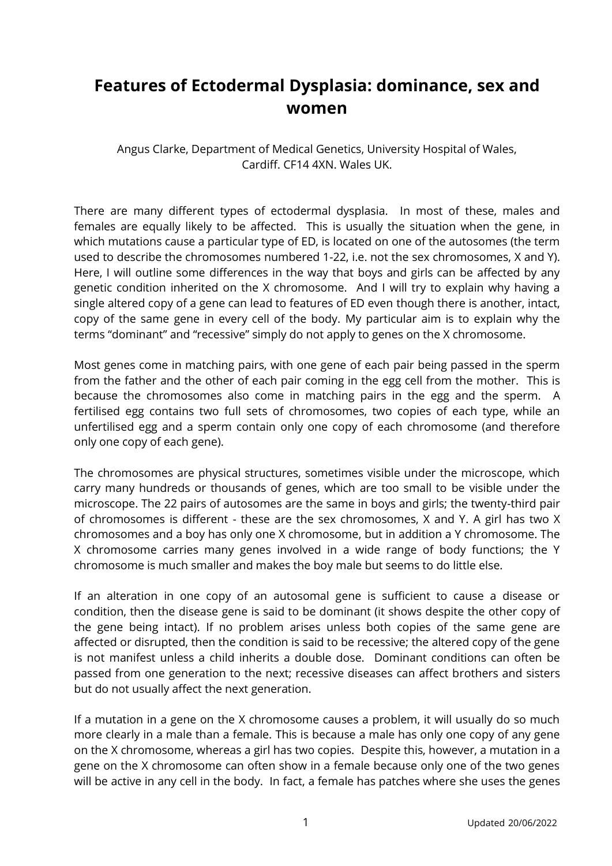## **Features of Ectodermal Dysplasia: dominance, sex and women**

Angus Clarke, Department of Medical Genetics, University Hospital of Wales, Cardiff. CF14 4XN. Wales UK.

There are many different types of ectodermal dysplasia. In most of these, males and females are equally likely to be affected. This is usually the situation when the gene, in which mutations cause a particular type of ED, is located on one of the autosomes (the term used to describe the chromosomes numbered 1-22, i.e. not the sex chromosomes, X and Y). Here, I will outline some differences in the way that boys and girls can be affected by any genetic condition inherited on the X chromosome. And I will try to explain why having a single altered copy of a gene can lead to features of ED even though there is another, intact, copy of the same gene in every cell of the body. My particular aim is to explain why the terms "dominant" and "recessive" simply do not apply to genes on the X chromosome.

Most genes come in matching pairs, with one gene of each pair being passed in the sperm from the father and the other of each pair coming in the egg cell from the mother. This is because the chromosomes also come in matching pairs in the egg and the sperm. A fertilised egg contains two full sets of chromosomes, two copies of each type, while an unfertilised egg and a sperm contain only one copy of each chromosome (and therefore only one copy of each gene).

The chromosomes are physical structures, sometimes visible under the microscope, which carry many hundreds or thousands of genes, which are too small to be visible under the microscope. The 22 pairs of autosomes are the same in boys and girls; the twenty-third pair of chromosomes is different - these are the sex chromosomes, X and Y. A girl has two X chromosomes and a boy has only one X chromosome, but in addition a Y chromosome. The X chromosome carries many genes involved in a wide range of body functions; the Y chromosome is much smaller and makes the boy male but seems to do little else.

If an alteration in one copy of an autosomal gene is sufficient to cause a disease or condition, then the disease gene is said to be dominant (it shows despite the other copy of the gene being intact). If no problem arises unless both copies of the same gene are affected or disrupted, then the condition is said to be recessive; the altered copy of the gene is not manifest unless a child inherits a double dose. Dominant conditions can often be passed from one generation to the next; recessive diseases can affect brothers and sisters but do not usually affect the next generation.

If a mutation in a gene on the X chromosome causes a problem, it will usually do so much more clearly in a male than a female. This is because a male has only one copy of any gene on the X chromosome, whereas a girl has two copies. Despite this, however, a mutation in a gene on the X chromosome can often show in a female because only one of the two genes will be active in any cell in the body. In fact, a female has patches where she uses the genes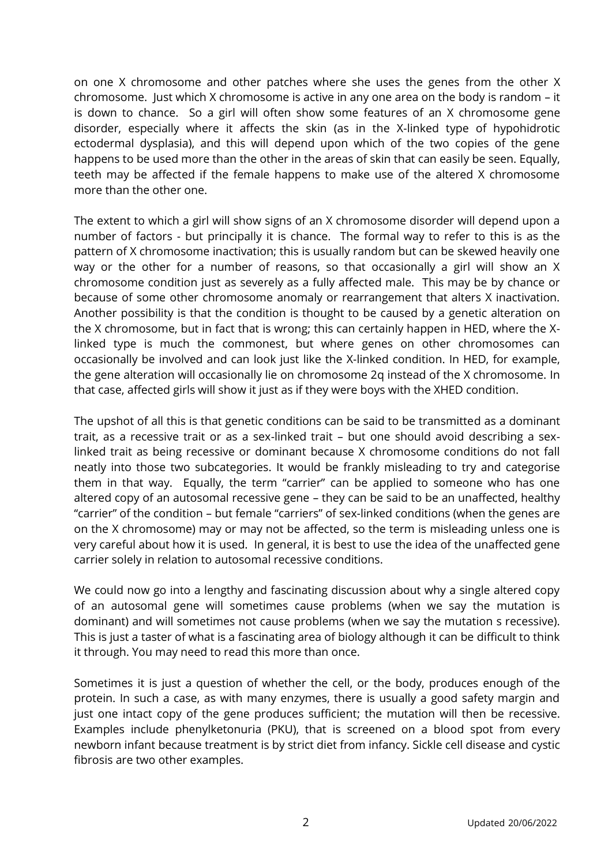on one X chromosome and other patches where she uses the genes from the other X chromosome. Just which X chromosome is active in any one area on the body is random – it is down to chance. So a girl will often show some features of an X chromosome gene disorder, especially where it affects the skin (as in the X-linked type of hypohidrotic ectodermal dysplasia), and this will depend upon which of the two copies of the gene happens to be used more than the other in the areas of skin that can easily be seen. Equally, teeth may be affected if the female happens to make use of the altered X chromosome more than the other one.

The extent to which a girl will show signs of an X chromosome disorder will depend upon a number of factors - but principally it is chance. The formal way to refer to this is as the pattern of X chromosome inactivation; this is usually random but can be skewed heavily one way or the other for a number of reasons, so that occasionally a girl will show an X chromosome condition just as severely as a fully affected male. This may be by chance or because of some other chromosome anomaly or rearrangement that alters X inactivation. Another possibility is that the condition is thought to be caused by a genetic alteration on the X chromosome, but in fact that is wrong; this can certainly happen in HED, where the Xlinked type is much the commonest, but where genes on other chromosomes can occasionally be involved and can look just like the X-linked condition. In HED, for example, the gene alteration will occasionally lie on chromosome 2q instead of the X chromosome. In that case, affected girls will show it just as if they were boys with the XHED condition.

The upshot of all this is that genetic conditions can be said to be transmitted as a dominant trait, as a recessive trait or as a sex-linked trait – but one should avoid describing a sexlinked trait as being recessive or dominant because X chromosome conditions do not fall neatly into those two subcategories. It would be frankly misleading to try and categorise them in that way. Equally, the term "carrier" can be applied to someone who has one altered copy of an autosomal recessive gene – they can be said to be an unaffected, healthy "carrier" of the condition – but female "carriers" of sex-linked conditions (when the genes are on the X chromosome) may or may not be affected, so the term is misleading unless one is very careful about how it is used. In general, it is best to use the idea of the unaffected gene carrier solely in relation to autosomal recessive conditions.

We could now go into a lengthy and fascinating discussion about why a single altered copy of an autosomal gene will sometimes cause problems (when we say the mutation is dominant) and will sometimes not cause problems (when we say the mutation s recessive). This is just a taster of what is a fascinating area of biology although it can be difficult to think it through. You may need to read this more than once.

Sometimes it is just a question of whether the cell, or the body, produces enough of the protein. In such a case, as with many enzymes, there is usually a good safety margin and just one intact copy of the gene produces sufficient; the mutation will then be recessive. Examples include phenylketonuria (PKU), that is screened on a blood spot from every newborn infant because treatment is by strict diet from infancy. Sickle cell disease and cystic fibrosis are two other examples.